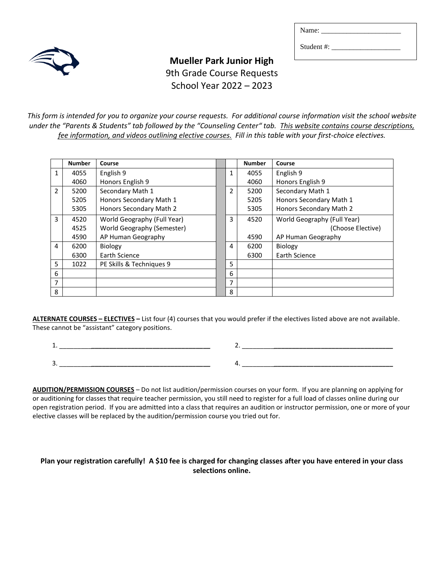Student #: \_\_\_\_\_\_\_\_\_\_\_\_\_\_\_\_\_\_\_



# **Mueller Park Junior High**  9th Grade Course Requests School Year 2022 – 2023

*This form is intended for you to organize your course requests. For additional course information visit the school website under the "Parents & Students" tab followed by the "Counseling Center" tab. This website contains course descriptions, fee information, and videos outlining elective courses. Fill in this table with your first-choice electives.*

|                | <b>Number</b> | Course                      |   | <b>Number</b> | Course                      |
|----------------|---------------|-----------------------------|---|---------------|-----------------------------|
| 1              | 4055          | English 9                   | 1 | 4055          | English 9                   |
|                | 4060          | Honors English 9            |   | 4060          | Honors English 9            |
| $\overline{2}$ | 5200          | Secondary Math 1            | 2 | 5200          | Secondary Math 1            |
|                | 5205          | Honors Secondary Math 1     |   | 5205          | Honors Secondary Math 1     |
|                | 5305          | Honors Secondary Math 2     |   | 5305          | Honors Secondary Math 2     |
| 3              | 4520          | World Geography (Full Year) | 3 | 4520          | World Geography (Full Year) |
|                | 4525          | World Geography (Semester)  |   |               | (Choose Elective)           |
|                | 4590          | AP Human Geography          |   | 4590          | AP Human Geography          |
| 4              | 6200          | Biology                     | 4 | 6200          | Biology                     |
|                | 6300          | Earth Science               |   | 6300          | Earth Science               |
| 5              | 1022          | PE Skills & Techniques 9    | 5 |               |                             |
| 6              |               |                             | 6 |               |                             |
| 7              |               |                             | 7 |               |                             |
| 8              |               |                             | 8 |               |                             |

**ALTERNATE COURSES – ELECTIVES –** List four (4) courses that you would prefer if the electives listed above are not available. These cannot be "assistant" category positions.

1. \_\_\_\_\_\_\_\_\_*\_\_\_\_\_\_\_\_\_\_\_\_\_\_\_\_\_\_\_\_\_\_\_\_\_\_\_\_\_\_\_\_\_* 2. \_\_\_\_\_\_\_\_\_*\_\_\_\_\_\_\_\_\_\_\_\_\_\_\_\_\_\_\_\_\_\_\_\_\_\_\_\_\_\_\_\_\_* 3. \_\_\_\_\_\_\_\_\_*\_\_\_\_\_\_\_\_\_\_\_\_\_\_\_\_\_\_\_\_\_\_\_\_\_\_\_\_\_\_\_\_\_* 4. \_\_\_\_\_\_\_\_\_*\_\_\_\_\_\_\_\_\_\_\_\_\_\_\_\_\_\_\_\_\_\_\_\_\_\_\_\_\_\_\_\_\_*

**AUDITION/PERMISSION COURSES** – Do not list audition/permission courses on your form. If you are planning on applying for or auditioning for classes that require teacher permission, you still need to register for a full load of classes online during our open registration period. If you are admitted into a class that requires an audition or instructor permission, one or more of your elective classes will be replaced by the audition/permission course you tried out for.

## **Plan your registration carefully! A \$10 fee is charged for changing classes after you have entered in your class selections online.**